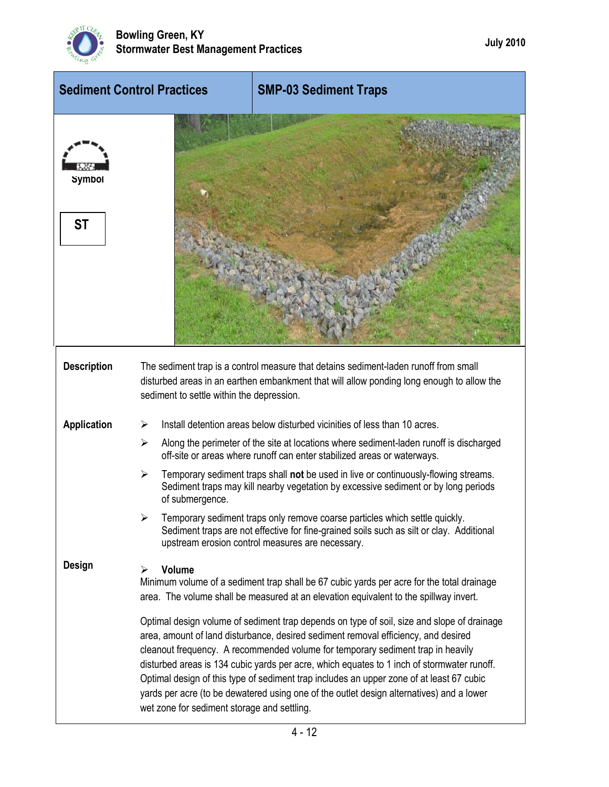

| <b>Sediment Control Practices</b> |                                             | <b>SMP-03 Sediment Traps</b>                                                                                                                                                                                                                                                                                                                                                                                                                                                                                                                                                                                                                        |
|-----------------------------------|---------------------------------------------|-----------------------------------------------------------------------------------------------------------------------------------------------------------------------------------------------------------------------------------------------------------------------------------------------------------------------------------------------------------------------------------------------------------------------------------------------------------------------------------------------------------------------------------------------------------------------------------------------------------------------------------------------------|
| <b>Symbol</b><br><b>ST</b>        |                                             |                                                                                                                                                                                                                                                                                                                                                                                                                                                                                                                                                                                                                                                     |
| <b>Description</b>                | sediment to settle within the depression.   | The sediment trap is a control measure that detains sediment-laden runoff from small<br>disturbed areas in an earthen embankment that will allow ponding long enough to allow the                                                                                                                                                                                                                                                                                                                                                                                                                                                                   |
| <b>Application</b>                | ➤                                           | Install detention areas below disturbed vicinities of less than 10 acres.                                                                                                                                                                                                                                                                                                                                                                                                                                                                                                                                                                           |
|                                   | ≻                                           | Along the perimeter of the site at locations where sediment-laden runoff is discharged<br>off-site or areas where runoff can enter stabilized areas or waterways.                                                                                                                                                                                                                                                                                                                                                                                                                                                                                   |
|                                   | ➤<br>of submergence.                        | Temporary sediment traps shall not be used in live or continuously-flowing streams.<br>Sediment traps may kill nearby vegetation by excessive sediment or by long periods                                                                                                                                                                                                                                                                                                                                                                                                                                                                           |
|                                   |                                             | Temporary sediment traps only remove coarse particles which settle quickly.<br>Sediment traps are not effective for fine-grained soils such as silt or clay. Additional<br>upstream erosion control measures are necessary.                                                                                                                                                                                                                                                                                                                                                                                                                         |
| Design                            | <b>Volume</b><br>≻                          | Minimum volume of a sediment trap shall be 67 cubic yards per acre for the total drainage<br>area. The volume shall be measured at an elevation equivalent to the spillway invert.<br>Optimal design volume of sediment trap depends on type of soil, size and slope of drainage<br>area, amount of land disturbance, desired sediment removal efficiency, and desired<br>cleanout frequency. A recommended volume for temporary sediment trap in heavily<br>disturbed areas is 134 cubic yards per acre, which equates to 1 inch of stormwater runoff.<br>Optimal design of this type of sediment trap includes an upper zone of at least 67 cubic |
|                                   | wet zone for sediment storage and settling. | yards per acre (to be dewatered using one of the outlet design alternatives) and a lower                                                                                                                                                                                                                                                                                                                                                                                                                                                                                                                                                            |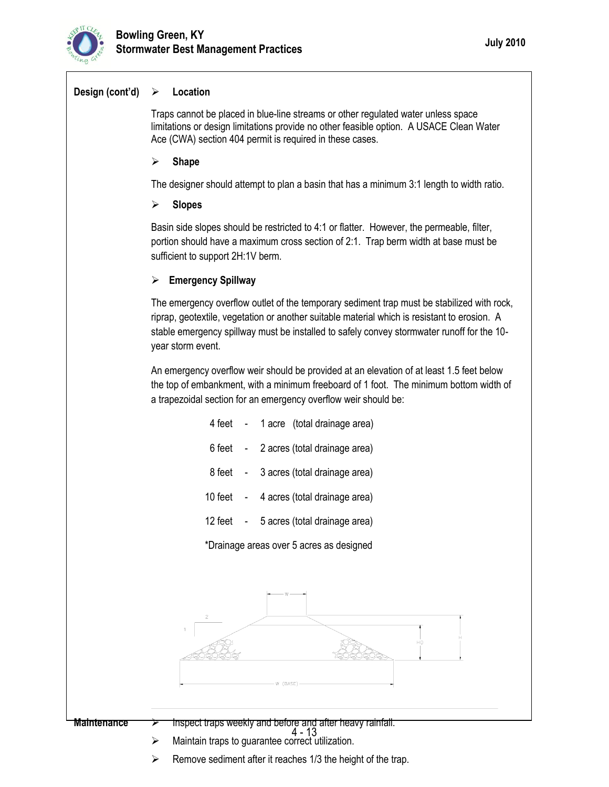

## **Design (cont'd) Location**

Traps cannot be placed in blue-line streams or other regulated water unless space limitations or design limitations provide no other feasible option. A USACE Clean Water Ace (CWA) section 404 permit is required in these cases.

**Shape**

The designer should attempt to plan a basin that has a minimum 3:1 length to width ratio.

**Slopes**

Basin side slopes should be restricted to 4:1 or flatter. However, the permeable, filter, portion should have a maximum cross section of 2:1. Trap berm width at base must be sufficient to support 2H:1V berm.

## **Emergency Spillway**

The emergency overflow outlet of the temporary sediment trap must be stabilized with rock, riprap, geotextile, vegetation or another suitable material which is resistant to erosion. A stable emergency spillway must be installed to safely convey stormwater runoff for the 10 year storm event.

An emergency overflow weir should be provided at an elevation of at least 1.5 feet below the top of embankment, with a minimum freeboard of 1 foot. The minimum bottom width of a trapezoidal section for an emergency overflow weir should be:

| 4 feet  |  | 1 acre (total drainage area)  |  |
|---------|--|-------------------------------|--|
| 6 feet  |  | 2 acres (total drainage area) |  |
| 8 feet  |  | 3 acres (total drainage area) |  |
| 10 feet |  | 4 acres (total drainage area) |  |
| 12 feet |  | 5 acres (total drainage area) |  |

\*Drainage areas over 5 acres as designed